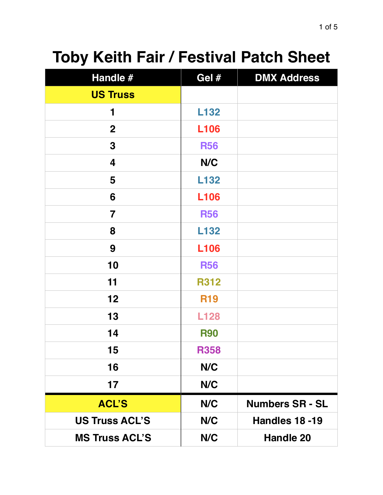## **Toby Keith Fair / Festival Patch Sheet**

| Handle #                | Gel #       | <b>DMX Address</b>     |
|-------------------------|-------------|------------------------|
| <b>US Truss</b>         |             |                        |
| 1                       | L132        |                        |
| $\mathbf{2}$            | <b>L106</b> |                        |
| $\mathbf 3$             | <b>R56</b>  |                        |
| 4                       | N/C         |                        |
| 5                       | L132        |                        |
| 6                       | <b>L106</b> |                        |
| $\overline{\mathbf{7}}$ | <b>R56</b>  |                        |
| 8                       | L132        |                        |
| 9                       | <b>L106</b> |                        |
| 10                      | <b>R56</b>  |                        |
| 11                      | <b>R312</b> |                        |
| 12                      | <b>R19</b>  |                        |
| 13                      | <b>L128</b> |                        |
| 14                      | <b>R90</b>  |                        |
| 15                      | <b>R358</b> |                        |
| 16                      | N/C         |                        |
| 17                      | N/C         |                        |
| <b>ACL'S</b>            | N/C         | <b>Numbers SR - SL</b> |
| <b>US Truss ACL'S</b>   | N/C         | <b>Handles 18 -19</b>  |
| <b>MS Truss ACL'S</b>   | N/C         | <b>Handle 20</b>       |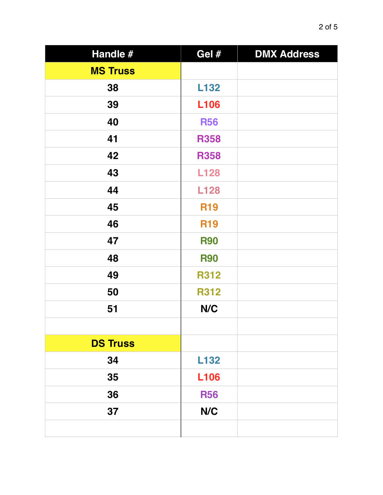| Handle #        | Gel #       | <b>DMX Address</b> |
|-----------------|-------------|--------------------|
| <b>MS Truss</b> |             |                    |
| 38              | L132        |                    |
| 39              | <b>L106</b> |                    |
| 40              | <b>R56</b>  |                    |
| 41              | <b>R358</b> |                    |
| 42              | <b>R358</b> |                    |
| 43              | <b>L128</b> |                    |
| 44              | <b>L128</b> |                    |
| 45              | <b>R19</b>  |                    |
| 46              | <b>R19</b>  |                    |
| 47              | <b>R90</b>  |                    |
| 48              | <b>R90</b>  |                    |
| 49              | <b>R312</b> |                    |
| 50              | <b>R312</b> |                    |
| 51              | N/C         |                    |
|                 |             |                    |
| <b>DS Truss</b> |             |                    |
| 34              | L132        |                    |
| 35              | <b>L106</b> |                    |
| 36              | <b>R56</b>  |                    |
| 37              | N/C         |                    |
|                 |             |                    |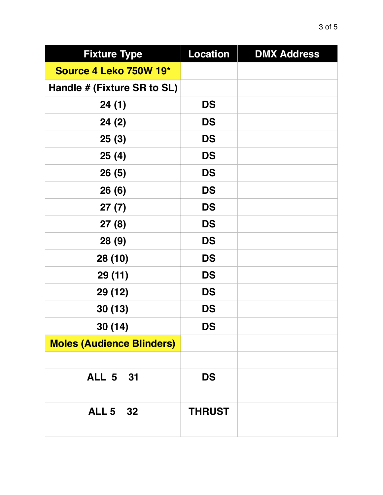| <b>Fixture Type</b>              | <b>Location</b> | <b>DMX Address</b> |
|----------------------------------|-----------------|--------------------|
| Source 4 Leko 750W 19*           |                 |                    |
| Handle # (Fixture SR to SL)      |                 |                    |
| 24(1)                            | <b>DS</b>       |                    |
| 24(2)                            | <b>DS</b>       |                    |
| 25(3)                            | <b>DS</b>       |                    |
| 25(4)                            | <b>DS</b>       |                    |
| 26(5)                            | <b>DS</b>       |                    |
| 26(6)                            | <b>DS</b>       |                    |
| 27(7)                            | <b>DS</b>       |                    |
| 27(8)                            | <b>DS</b>       |                    |
| 28(9)                            | <b>DS</b>       |                    |
| 28 (10)                          | <b>DS</b>       |                    |
| 29 (11)                          | <b>DS</b>       |                    |
| 29 (12)                          | <b>DS</b>       |                    |
| 30(13)                           | <b>DS</b>       |                    |
| 30(14)                           | <b>DS</b>       |                    |
| <b>Moles (Audience Blinders)</b> |                 |                    |
|                                  |                 |                    |
| <b>ALL 5 31</b>                  | <b>DS</b>       |                    |
|                                  |                 |                    |
| <b>ALL 5 32</b>                  | <b>THRUST</b>   |                    |
|                                  |                 |                    |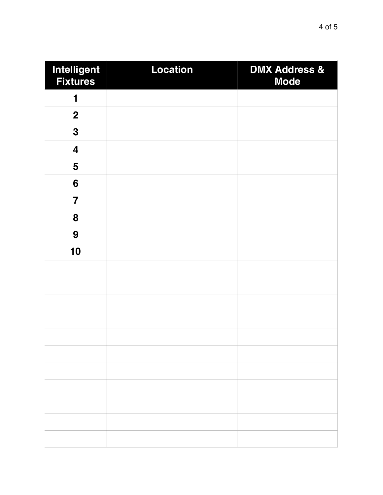| Intelligent<br><b>Fixtures</b> | <b>Location</b> | <b>DMX Address &amp;</b><br><b>Mode</b> |
|--------------------------------|-----------------|-----------------------------------------|
| 1                              |                 |                                         |
| $\boldsymbol{2}$               |                 |                                         |
| $\mathbf 3$                    |                 |                                         |
| $\overline{\mathbf{4}}$        |                 |                                         |
| 5                              |                 |                                         |
| $6\phantom{1}$                 |                 |                                         |
| $\overline{\mathbf{7}}$        |                 |                                         |
| 8                              |                 |                                         |
| 9                              |                 |                                         |
| 10                             |                 |                                         |
|                                |                 |                                         |
|                                |                 |                                         |
|                                |                 |                                         |
|                                |                 |                                         |
|                                |                 |                                         |
|                                |                 |                                         |
|                                |                 |                                         |
|                                |                 |                                         |
|                                |                 |                                         |
|                                |                 |                                         |
|                                |                 |                                         |